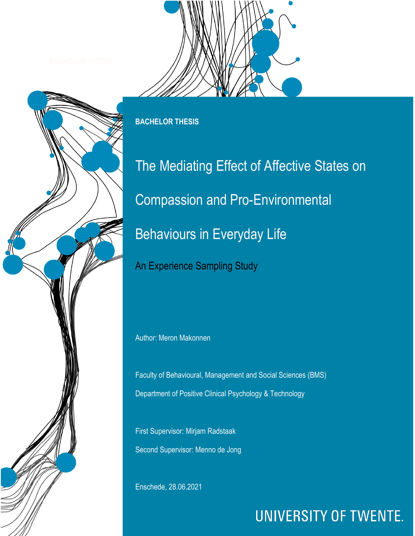



**BACHELOR THESIS**

The Mediating Effect of Affective States on Compassion and Pro-Environmental Behaviours in Everyday Life

An Experience Sampling Study

Author: Meron Makonnen

Faculty of Behavioural, Management and Social Sciences (BMS) Department of Positive Clinical Psychology & Technology

First Supervisor: Mirjam Radstaak Second Supervisor: Menno de Jong

Enschede, 28.06.2021

# **UNIVERSITY OF TWENTE.**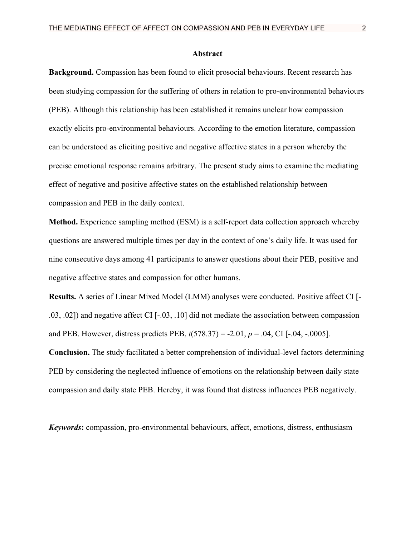### **Abstract**

**Background.** Compassion has been found to elicit prosocial behaviours. Recent research has been studying compassion for the suffering of others in relation to pro-environmental behaviours (PEB). Although this relationship has been established it remains unclear how compassion exactly elicits pro-environmental behaviours. According to the emotion literature, compassion can be understood as eliciting positive and negative affective states in a person whereby the precise emotional response remains arbitrary. The present study aims to examine the mediating effect of negative and positive affective states on the established relationship between compassion and PEB in the daily context.

**Method.** Experience sampling method (ESM) is a self-report data collection approach whereby questions are answered multiple times per day in the context of one's daily life. It was used for nine consecutive days among 41 participants to answer questions about their PEB, positive and negative affective states and compassion for other humans.

**Results.** A series of Linear Mixed Model (LMM) analyses were conducted. Positive affect CI [- .03, .02]) and negative affect CI [-.03, .10] did not mediate the association between compassion and PEB. However, distress predicts PEB, *t*(578.37) = -2.01, *p* = .04, CI [-.04, -.0005].

**Conclusion.** The study facilitated a better comprehension of individual-level factors determining PEB by considering the neglected influence of emotions on the relationship between daily state compassion and daily state PEB. Hereby, it was found that distress influences PEB negatively.

*Keywords***:** compassion, pro-environmental behaviours, affect, emotions, distress, enthusiasm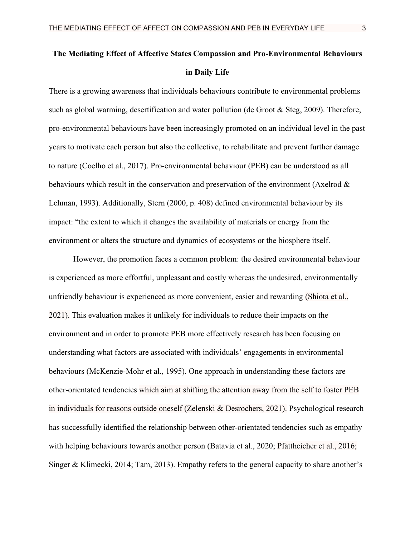## **The Mediating Effect of Affective States Compassion and Pro-Environmental Behaviours in Daily Life**

There is a growing awareness that individuals behaviours contribute to environmental problems such as global warming, desertification and water pollution (de Groot & Steg, 2009). Therefore, pro-environmental behaviours have been increasingly promoted on an individual level in the past years to motivate each person but also the collective, to rehabilitate and prevent further damage to nature (Coelho et al., 2017). Pro-environmental behaviour (PEB) can be understood as all behaviours which result in the conservation and preservation of the environment (Axelrod & Lehman, 1993). Additionally, Stern (2000, p. 408) defined environmental behaviour by its impact: "the extent to which it changes the availability of materials or energy from the environment or alters the structure and dynamics of ecosystems or the biosphere itself.

However, the promotion faces a common problem: the desired environmental behaviour is experienced as more effortful, unpleasant and costly whereas the undesired, environmentally unfriendly behaviour is experienced as more convenient, easier and rewarding (Shiota et al., 2021). This evaluation makes it unlikely for individuals to reduce their impacts on the environment and in order to promote PEB more effectively research has been focusing on understanding what factors are associated with individuals' engagements in environmental behaviours (McKenzie-Mohr et al., 1995). One approach in understanding these factors are other-orientated tendencies which aim at shifting the attention away from the self to foster PEB in individuals for reasons outside oneself (Zelenski & Desrochers, 2021). Psychological research has successfully identified the relationship between other-orientated tendencies such as empathy with helping behaviours towards another person (Batavia et al., 2020; Pfattheicher et al., 2016; Singer & Klimecki, 2014; Tam, 2013). Empathy refers to the general capacity to share another's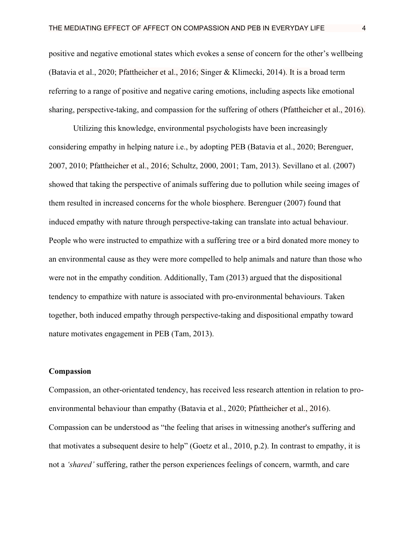positive and negative emotional states which evokes a sense of concern for the other's wellbeing (Batavia et al., 2020; Pfattheicher et al., 2016; Singer & Klimecki, 2014). It is a broad term referring to a range of positive and negative caring emotions, including aspects like emotional sharing, perspective-taking, and compassion for the suffering of others (Pfattheicher et al., 2016).

Utilizing this knowledge, environmental psychologists have been increasingly considering empathy in helping nature i.e., by adopting PEB (Batavia et al., 2020; Berenguer, 2007, 2010; Pfattheicher et al., 2016; Schultz, 2000, 2001; Tam, 2013). Sevillano et al. (2007) showed that taking the perspective of animals suffering due to pollution while seeing images of them resulted in increased concerns for the whole biosphere. Berenguer (2007) found that induced empathy with nature through perspective-taking can translate into actual behaviour. People who were instructed to empathize with a suffering tree or a bird donated more money to an environmental cause as they were more compelled to help animals and nature than those who were not in the empathy condition. Additionally, Tam (2013) argued that the dispositional tendency to empathize with nature is associated with pro-environmental behaviours. Taken together, both induced empathy through perspective-taking and dispositional empathy toward nature motivates engagement in PEB (Tam, 2013).

### **Compassion**

Compassion, an other-orientated tendency, has received less research attention in relation to proenvironmental behaviour than empathy (Batavia et al., 2020; Pfattheicher et al., 2016). Compassion can be understood as "the feeling that arises in witnessing another's suffering and that motivates a subsequent desire to help" (Goetz et al., 2010, p.2). In contrast to empathy, it is not a *'shared'* suffering, rather the person experiences feelings of concern, warmth, and care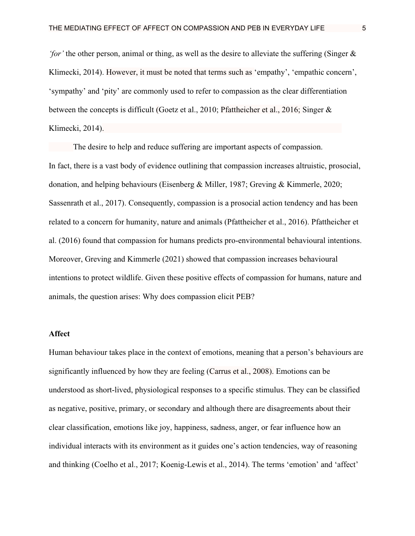*'for'* the other person, animal or thing, as well as the desire to alleviate the suffering (Singer & Klimecki, 2014). However, it must be noted that terms such as 'empathy', 'empathic concern', 'sympathy' and 'pity' are commonly used to refer to compassion as the clear differentiation between the concepts is difficult (Goetz et al., 2010; Pfattheicher et al., 2016; Singer & Klimecki, 2014).

The desire to help and reduce suffering are important aspects of compassion. In fact, there is a vast body of evidence outlining that compassion increases altruistic, prosocial, donation, and helping behaviours (Eisenberg & Miller, 1987; Greving & Kimmerle, 2020; Sassenrath et al., 2017). Consequently, compassion is a prosocial action tendency and has been related to a concern for humanity, nature and animals (Pfattheicher et al., 2016). Pfattheicher et al. (2016) found that compassion for humans predicts pro-environmental behavioural intentions. Moreover, Greving and Kimmerle (2021) showed that compassion increases behavioural intentions to protect wildlife. Given these positive effects of compassion for humans, nature and animals, the question arises: Why does compassion elicit PEB?

### **Affect**

Human behaviour takes place in the context of emotions, meaning that a person's behaviours are significantly influenced by how they are feeling (Carrus et al., 2008). Emotions can be understood as short-lived, physiological responses to a specific stimulus. They can be classified as negative, positive, primary, or secondary and although there are disagreements about their clear classification, emotions like joy, happiness, sadness, anger, or fear influence how an individual interacts with its environment as it guides one's action tendencies, way of reasoning and thinking (Coelho et al., 2017; Koenig-Lewis et al., 2014). The terms 'emotion' and 'affect'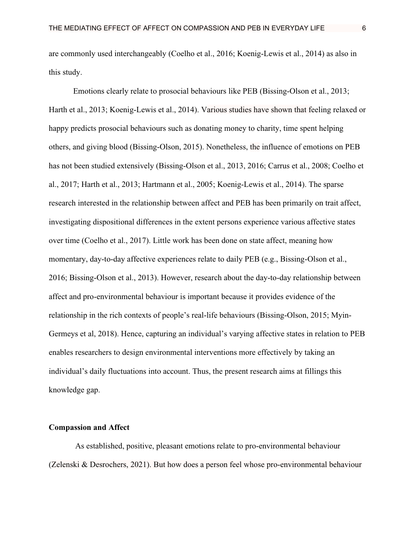are commonly used interchangeably (Coelho et al., 2016; Koenig-Lewis et al., 2014) as also in this study.

Emotions clearly relate to prosocial behaviours like PEB (Bissing-Olson et al., 2013; Harth et al., 2013; Koenig-Lewis et al., 2014). Various studies have shown that feeling relaxed or happy predicts prosocial behaviours such as donating money to charity, time spent helping others, and giving blood (Bissing-Olson, 2015). Nonetheless, the influence of emotions on PEB has not been studied extensively (Bissing-Olson et al., 2013, 2016; Carrus et al., 2008; Coelho et al., 2017; Harth et al., 2013; Hartmann et al., 2005; Koenig-Lewis et al., 2014). The sparse research interested in the relationship between affect and PEB has been primarily on trait affect, investigating dispositional differences in the extent persons experience various affective states over time (Coelho et al., 2017). Little work has been done on state affect, meaning how momentary, day-to-day affective experiences relate to daily PEB (e.g., Bissing-Olson et al., 2016; Bissing-Olson et al., 2013). However, research about the day-to-day relationship between affect and pro-environmental behaviour is important because it provides evidence of the relationship in the rich contexts of people's real-life behaviours (Bissing-Olson, 2015; Myin-Germeys et al, 2018). Hence, capturing an individual's varying affective states in relation to PEB enables researchers to design environmental interventions more effectively by taking an individual's daily fluctuations into account. Thus, the present research aims at fillings this knowledge gap.

### **Compassion and Affect**

As established, positive, pleasant emotions relate to pro-environmental behaviour (Zelenski & Desrochers, 2021). But how does a person feel whose pro-environmental behaviour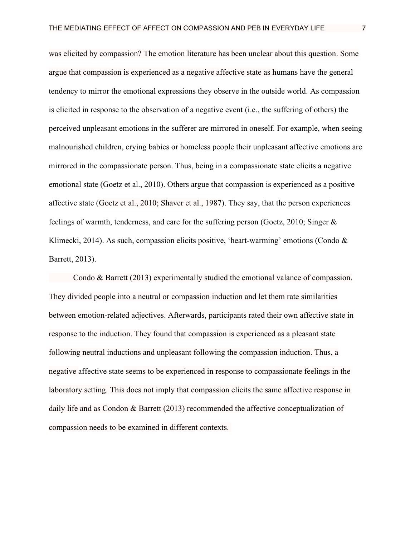was elicited by compassion? The emotion literature has been unclear about this question. Some argue that compassion is experienced as a negative affective state as humans have the general tendency to mirror the emotional expressions they observe in the outside world. As compassion is elicited in response to the observation of a negative event (i.e., the suffering of others) the perceived unpleasant emotions in the sufferer are mirrored in oneself. For example, when seeing malnourished children, crying babies or homeless people their unpleasant affective emotions are mirrored in the compassionate person. Thus, being in a compassionate state elicits a negative emotional state (Goetz et al., 2010). Others argue that compassion is experienced as a positive affective state (Goetz et al., 2010; Shaver et al., 1987). They say, that the person experiences feelings of warmth, tenderness, and care for the suffering person (Goetz, 2010; Singer & Klimecki, 2014). As such, compassion elicits positive, 'heart-warming' emotions (Condo  $\&$ Barrett, 2013).

Condo & Barrett (2013) experimentally studied the emotional valance of compassion. They divided people into a neutral or compassion induction and let them rate similarities between emotion-related adjectives. Afterwards, participants rated their own affective state in response to the induction. They found that compassion is experienced as a pleasant state following neutral inductions and unpleasant following the compassion induction. Thus, a negative affective state seems to be experienced in response to compassionate feelings in the laboratory setting. This does not imply that compassion elicits the same affective response in daily life and as Condon & Barrett (2013) recommended the affective conceptualization of compassion needs to be examined in different contexts.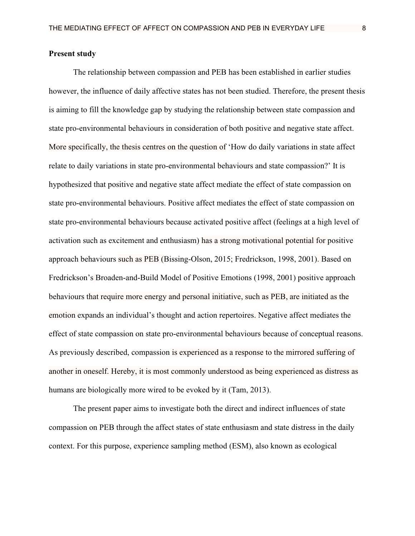### **Present study**

The relationship between compassion and PEB has been established in earlier studies however, the influence of daily affective states has not been studied. Therefore, the present thesis is aiming to fill the knowledge gap by studying the relationship between state compassion and state pro-environmental behaviours in consideration of both positive and negative state affect. More specifically, the thesis centres on the question of 'How do daily variations in state affect relate to daily variations in state pro-environmental behaviours and state compassion?' It is hypothesized that positive and negative state affect mediate the effect of state compassion on state pro-environmental behaviours. Positive affect mediates the effect of state compassion on state pro-environmental behaviours because activated positive affect (feelings at a high level of activation such as excitement and enthusiasm) has a strong motivational potential for positive approach behaviours such as PEB (Bissing-Olson, 2015; Fredrickson, 1998, 2001). Based on Fredrickson's Broaden-and-Build Model of Positive Emotions (1998, 2001) positive approach behaviours that require more energy and personal initiative, such as PEB, are initiated as the emotion expands an individual's thought and action repertoires. Negative affect mediates the effect of state compassion on state pro-environmental behaviours because of conceptual reasons. As previously described, compassion is experienced as a response to the mirrored suffering of another in oneself. Hereby, it is most commonly understood as being experienced as distress as humans are biologically more wired to be evoked by it (Tam, 2013).

The present paper aims to investigate both the direct and indirect influences of state compassion on PEB through the affect states of state enthusiasm and state distress in the daily context. For this purpose, experience sampling method (ESM), also known as ecological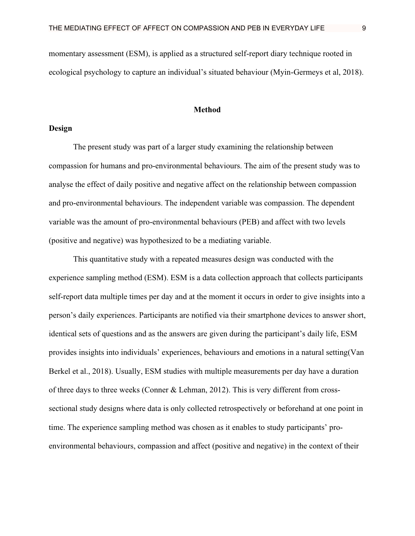momentary assessment (ESM), is applied as a structured self-report diary technique rooted in ecological psychology to capture an individual's situated behaviour (Myin-Germeys et al, 2018).

### **Method**

### **Design**

The present study was part of a larger study examining the relationship between compassion for humans and pro-environmental behaviours. The aim of the present study was to analyse the effect of daily positive and negative affect on the relationship between compassion and pro-environmental behaviours. The independent variable was compassion. The dependent variable was the amount of pro-environmental behaviours (PEB) and affect with two levels (positive and negative) was hypothesized to be a mediating variable.

This quantitative study with a repeated measures design was conducted with the experience sampling method (ESM). ESM is a data collection approach that collects participants self-report data multiple times per day and at the moment it occurs in order to give insights into a person's daily experiences. Participants are notified via their smartphone devices to answer short, identical sets of questions and as the answers are given during the participant's daily life, ESM provides insights into individuals' experiences, behaviours and emotions in a natural setting(Van Berkel et al., 2018). Usually, ESM studies with multiple measurements per day have a duration of three days to three weeks (Conner & Lehman, 2012). This is very different from crosssectional study designs where data is only collected retrospectively or beforehand at one point in time. The experience sampling method was chosen as it enables to study participants' proenvironmental behaviours, compassion and affect (positive and negative) in the context of their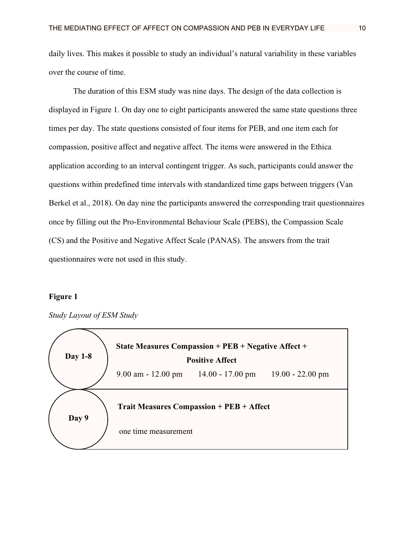daily lives. This makes it possible to study an individual's natural variability in these variables over the course of time.

The duration of this ESM study was nine days. The design of the data collection is displayed in Figure 1. On day one to eight participants answered the same state questions three times per day. The state questions consisted of four items for PEB, and one item each for compassion, positive affect and negative affect. The items were answered in the Ethica application according to an interval contingent trigger. As such, participants could answer the questions within predefined time intervals with standardized time gaps between triggers (Van Berkel et al., 2018). On day nine the participants answered the corresponding trait questionnaires once by filling out the Pro-Environmental Behaviour Scale (PEBS), the Compassion Scale (CS) and the Positive and Negative Affect Scale (PANAS). The answers from the trait questionnaires were not used in this study.

### **Figure 1**



*Study Layout of ESM Study*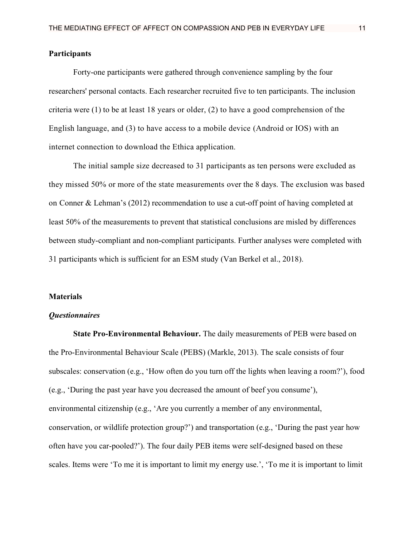### **Participants**

Forty-one participants were gathered through convenience sampling by the four researchers' personal contacts. Each researcher recruited five to ten participants. The inclusion criteria were (1) to be at least 18 years or older, (2) to have a good comprehension of the English language, and (3) to have access to a mobile device (Android or IOS) with an internet connection to download the Ethica application.

The initial sample size decreased to 31 participants as ten persons were excluded as they missed 50% or more of the state measurements over the 8 days. The exclusion was based on Conner & Lehman's (2012) recommendation to use a cut-off point of having completed at least 50% of the measurements to prevent that statistical conclusions are misled by differences between study-compliant and non-compliant participants. Further analyses were completed with 31 participants which is sufficient for an ESM study (Van Berkel et al., 2018).

### **Materials**

### *Questionnaires*

**State Pro-Environmental Behaviour.** The daily measurements of PEB were based on the Pro-Environmental Behaviour Scale (PEBS) (Markle, 2013). The scale consists of four subscales: conservation (e.g., 'How often do you turn off the lights when leaving a room?'), food (e.g., 'During the past year have you decreased the amount of beef you consume'), environmental citizenship (e.g., 'Are you currently a member of any environmental, conservation, or wildlife protection group?') and transportation (e.g., 'During the past year how often have you car-pooled?'). The four daily PEB items were self-designed based on these scales. Items were 'To me it is important to limit my energy use.', 'To me it is important to limit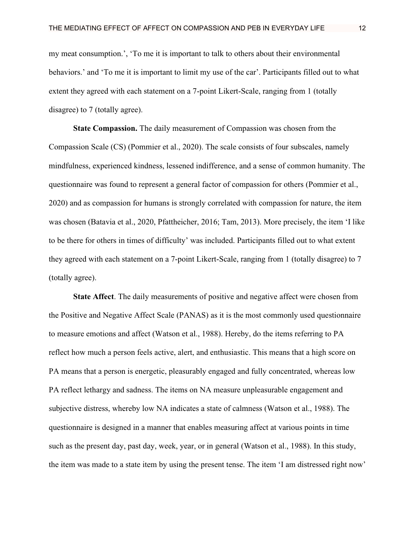my meat consumption.', 'To me it is important to talk to others about their environmental behaviors.' and 'To me it is important to limit my use of the car'. Participants filled out to what extent they agreed with each statement on a 7-point Likert-Scale, ranging from 1 (totally disagree) to 7 (totally agree).

**State Compassion.** The daily measurement of Compassion was chosen from the Compassion Scale (CS) (Pommier et al., 2020). The scale consists of four subscales, namely mindfulness, experienced kindness, lessened indifference, and a sense of common humanity. The questionnaire was found to represent a general factor of compassion for others (Pommier et al., 2020) and as compassion for humans is strongly correlated with compassion for nature, the item was chosen (Batavia et al., 2020, Pfattheicher, 2016; Tam, 2013). More precisely, the item 'I like to be there for others in times of difficulty' was included. Participants filled out to what extent they agreed with each statement on a 7-point Likert-Scale, ranging from 1 (totally disagree) to 7 (totally agree).

**State Affect**. The daily measurements of positive and negative affect were chosen from the Positive and Negative Affect Scale (PANAS) as it is the most commonly used questionnaire to measure emotions and affect (Watson et al., 1988). Hereby, do the items referring to PA reflect how much a person feels active, alert, and enthusiastic. This means that a high score on PA means that a person is energetic, pleasurably engaged and fully concentrated, whereas low PA reflect lethargy and sadness. The items on NA measure unpleasurable engagement and subjective distress, whereby low NA indicates a state of calmness (Watson et al., 1988). The questionnaire is designed in a manner that enables measuring affect at various points in time such as the present day, past day, week, year, or in general (Watson et al., 1988). In this study, the item was made to a state item by using the present tense. The item 'I am distressed right now'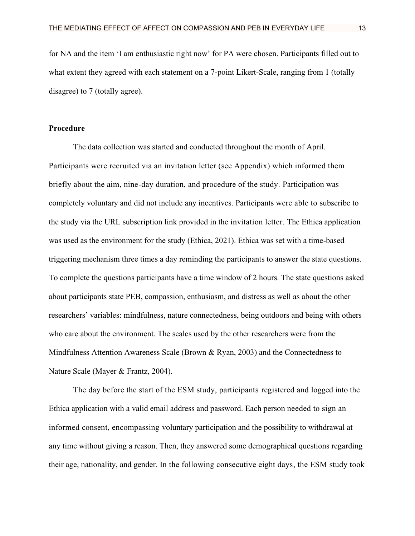for NA and the item 'I am enthusiastic right now' for PA were chosen. Participants filled out to what extent they agreed with each statement on a 7-point Likert-Scale, ranging from 1 (totally disagree) to 7 (totally agree).

### **Procedure**

The data collection was started and conducted throughout the month of April. Participants were recruited via an invitation letter (see Appendix) which informed them briefly about the aim, nine-day duration, and procedure of the study. Participation was completely voluntary and did not include any incentives. Participants were able to subscribe to the study via the URL subscription link provided in the invitation letter. The Ethica application was used as the environment for the study (Ethica, 2021). Ethica was set with a time-based triggering mechanism three times a day reminding the participants to answer the state questions. To complete the questions participants have a time window of 2 hours. The state questions asked about participants state PEB, compassion, enthusiasm, and distress as well as about the other researchers' variables: mindfulness, nature connectedness, being outdoors and being with others who care about the environment. The scales used by the other researchers were from the Mindfulness Attention Awareness Scale (Brown & Ryan, 2003) and the Connectedness to Nature Scale (Mayer & Frantz, 2004).

The day before the start of the ESM study, participants registered and logged into the Ethica application with a valid email address and password. Each person needed to sign an informed consent, encompassing voluntary participation and the possibility to withdrawal at any time without giving a reason. Then, they answered some demographical questions regarding their age, nationality, and gender. In the following consecutive eight days, the ESM study took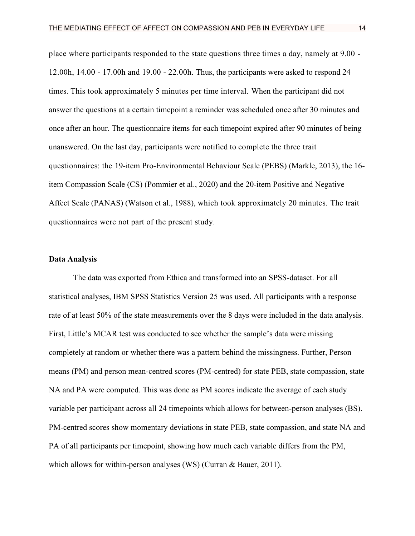place where participants responded to the state questions three times a day, namely at 9.00 - 12.00h, 14.00 - 17.00h and 19.00 - 22.00h. Thus, the participants were asked to respond 24 times. This took approximately 5 minutes per time interval. When the participant did not answer the questions at a certain timepoint a reminder was scheduled once after 30 minutes and once after an hour. The questionnaire items for each timepoint expired after 90 minutes of being unanswered. On the last day, participants were notified to complete the three trait questionnaires: the 19-item Pro-Environmental Behaviour Scale (PEBS) (Markle, 2013), the 16 item Compassion Scale (CS) (Pommier et al., 2020) and the 20-item Positive and Negative Affect Scale (PANAS) (Watson et al., 1988), which took approximately 20 minutes. The trait questionnaires were not part of the present study.

### **Data Analysis**

The data was exported from Ethica and transformed into an SPSS-dataset. For all statistical analyses, IBM SPSS Statistics Version 25 was used. All participants with a response rate of at least 50% of the state measurements over the 8 days were included in the data analysis. First, Little's MCAR test was conducted to see whether the sample's data were missing completely at random or whether there was a pattern behind the missingness. Further, Person means (PM) and person mean-centred scores (PM-centred) for state PEB, state compassion, state NA and PA were computed. This was done as PM scores indicate the average of each study variable per participant across all 24 timepoints which allows for between-person analyses (BS). PM-centred scores show momentary deviations in state PEB, state compassion, and state NA and PA of all participants per timepoint, showing how much each variable differs from the PM, which allows for within-person analyses *(WS) (Curran & Bauer, 2011).*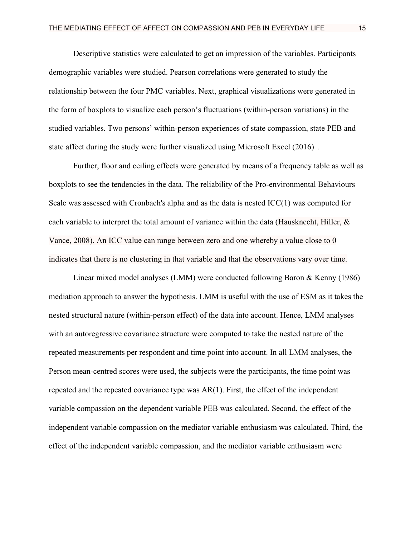Descriptive statistics were calculated to get an impression of the variables. Participants demographic variables were studied. Pearson correlations were generated to study the relationship between the four PMC variables. Next, graphical visualizations were generated in the form of boxplots to visualize each person's fluctuations (within-person variations) in the studied variables. Two persons' within-person experiences of state compassion, state PEB and state affect during the study were further visualized using Microsoft Excel (2016) .

Further, floor and ceiling effects were generated by means of a frequency table as well as boxplots to see the tendencies in the data. The reliability of the Pro-environmental Behaviours Scale was assessed with Cronbach's alpha and as the data is nested ICC(1) was computed for each variable to interpret the total amount of variance within the data (Hausknecht, Hiller, & Vance, 2008). An ICC value can range between zero and one whereby a value close to 0 indicates that there is no clustering in that variable and that the observations vary over time.

Linear mixed model analyses (LMM) were conducted following Baron & Kenny (1986) mediation approach to answer the hypothesis. LMM is useful with the use of ESM as it takes the nested structural nature (within-person effect) of the data into account. Hence, LMM analyses with an autoregressive covariance structure were computed to take the nested nature of the repeated measurements per respondent and time point into account. In all LMM analyses, the Person mean-centred scores were used, the subjects were the participants, the time point was repeated and the repeated covariance type was AR(1). First, the effect of the independent variable compassion on the dependent variable PEB was calculated. Second, the effect of the independent variable compassion on the mediator variable enthusiasm was calculated. Third, the effect of the independent variable compassion, and the mediator variable enthusiasm were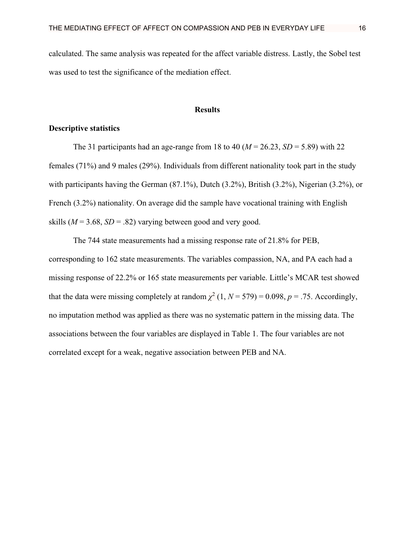calculated. The same analysis was repeated for the affect variable distress. Lastly, the Sobel test was used to test the significance of the mediation effect.

### **Results**

### **Descriptive statistics**

The 31 participants had an age-range from 18 to 40 ( $M = 26.23$ ,  $SD = 5.89$ ) with 22 females (71%) and 9 males (29%). Individuals from different nationality took part in the study with participants having the German (87.1%), Dutch (3.2%), British (3.2%), Nigerian (3.2%), or French (3.2%) nationality. On average did the sample have vocational training with English skills ( $M = 3.68$ ,  $SD = .82$ ) varying between good and very good.

The 744 state measurements had a missing response rate of 21.8% for PEB, corresponding to 162 state measurements. The variables compassion, NA, and PA each had a missing response of 22.2% or 165 state measurements per variable. Little's MCAR test showed that the data were missing completely at random  $\chi^2$  (1,  $N = 579$ ) = 0.098,  $p = .75$ . Accordingly, no imputation method was applied as there was no systematic pattern in the missing data. The associations between the four variables are displayed in Table 1. The four variables are not correlated except for a weak, negative association between PEB and NA.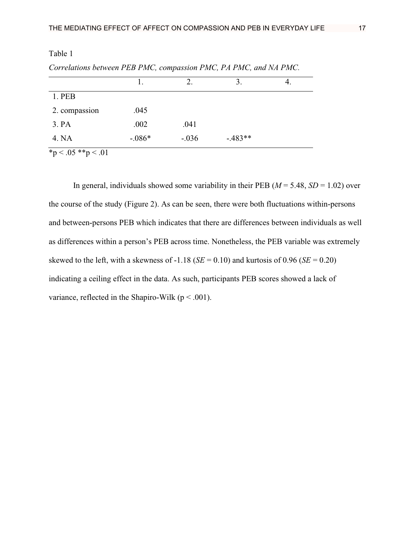|                        |          |         | 3.         |  |
|------------------------|----------|---------|------------|--|
| 1. PEB                 |          |         |            |  |
| 2. compassion          | .045     |         |            |  |
| 3. PA                  | .002     | .041    |            |  |
| 4. NA                  | $-.086*$ | $-.036$ | $-0.483**$ |  |
| $*_{12}$ / 05 *** / 01 |          |         |            |  |

*Correlations between PEB PMC, compassion PMC, PA PMC, and NA PMC.* 

 ${\rm Sp} < .05$  \*\*p  $< .01$ 

In general, individuals showed some variability in their PEB ( $M = 5.48$ ,  $SD = 1.02$ ) over the course of the study (Figure 2). As can be seen, there were both fluctuations within-persons and between-persons PEB which indicates that there are differences between individuals as well as differences within a person's PEB across time. Nonetheless, the PEB variable was extremely skewed to the left, with a skewness of  $-1.18$  (*SE* = 0.10) and kurtosis of 0.96 (*SE* = 0.20) indicating a ceiling effect in the data. As such, participants PEB scores showed a lack of variance, reflected in the Shapiro-Wilk ( $p < .001$ ).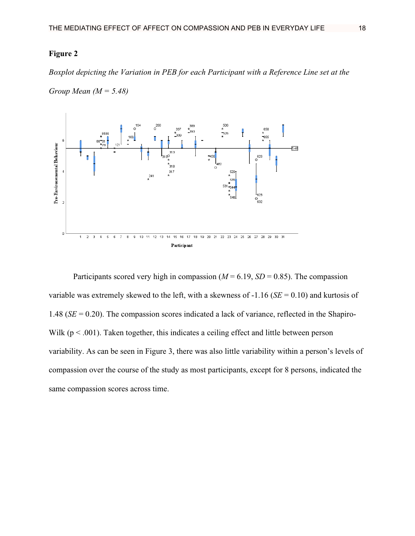*Boxplot depicting the Variation in PEB for each Participant with a Reference Line set at the* 





Participants scored very high in compassion ( $M = 6.19$ ,  $SD = 0.85$ ). The compassion variable was extremely skewed to the left, with a skewness of -1.16 (*SE* = 0.10) and kurtosis of 1.48 (*SE* = 0.20). The compassion scores indicated a lack of variance, reflected in the Shapiro-Wilk ( $p < .001$ ). Taken together, this indicates a ceiling effect and little between person variability. As can be seen in Figure 3, there was also little variability within a person's levels of compassion over the course of the study as most participants, except for 8 persons, indicated the same compassion scores across time.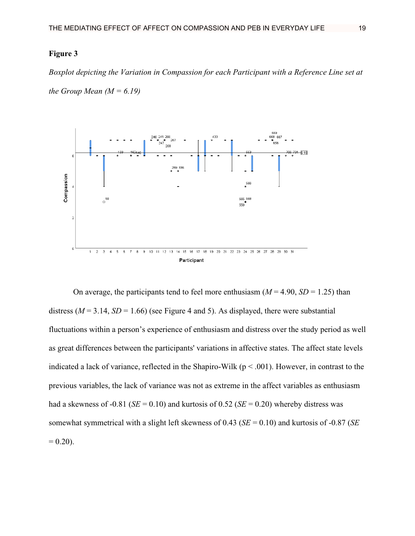*Boxplot depicting the Variation in Compassion for each Participant with a Reference Line set at the Group Mean*  $(M = 6.19)$ 



On average, the participants tend to feel more enthusiasm  $(M = 4.90, SD = 1.25)$  than distress ( $M = 3.14$ ,  $SD = 1.66$ ) (see Figure 4 and 5). As displayed, there were substantial fluctuations within a person's experience of enthusiasm and distress over the study period as well as great differences between the participants' variations in affective states. The affect state levels indicated a lack of variance, reflected in the Shapiro-Wilk ( $p < .001$ ). However, in contrast to the previous variables, the lack of variance was not as extreme in the affect variables as enthusiasm had a skewness of -0.81 ( $SE = 0.10$ ) and kurtosis of 0.52 ( $SE = 0.20$ ) whereby distress was somewhat symmetrical with a slight left skewness of 0.43 (*SE* = 0.10) and kurtosis of -0.87 (*SE*  $= 0.20$ ).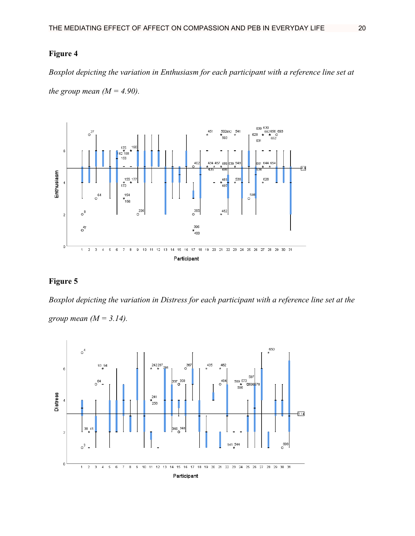*Boxplot depicting the variation in Enthusiasm for each participant with a reference line set at the group mean*  $(M = 4.90)$ .



### **Figure 5**

*Boxplot depicting the variation in Distress for each participant with a reference line set at the* 

*group mean (M = 3.14).*

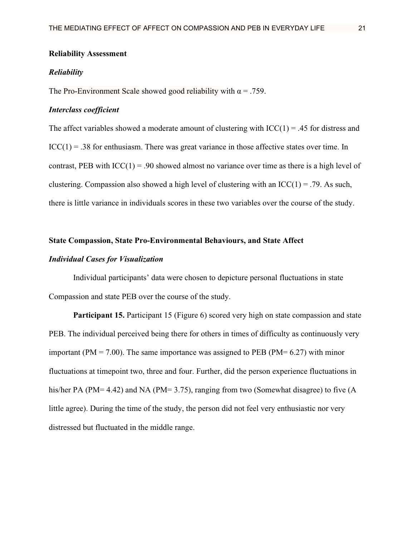### **Reliability Assessment**

### *Reliability*

The Pro-Environment Scale showed good reliability with  $\alpha = .759$ .

### *Interclass coefficient*

The affect variables showed a moderate amount of clustering with  $ICC(1) = .45$  for distress and  $ICC(1) = .38$  for enthusiasm. There was great variance in those affective states over time. In contrast, PEB with  $ICC(1) = .90$  showed almost no variance over time as there is a high level of clustering. Compassion also showed a high level of clustering with an  $\text{ICC}(1) = .79$ . As such, there is little variance in individuals scores in these two variables over the course of the study.

### **State Compassion, State Pro-Environmental Behaviours, and State Affect**

### *Individual Cases for Visualization*

Individual participants' data were chosen to depicture personal fluctuations in state Compassion and state PEB over the course of the study.

**Participant 15.** Participant 15 (Figure 6) scored very high on state compassion and state PEB. The individual perceived being there for others in times of difficulty as continuously very important (PM = 7.00). The same importance was assigned to PEB (PM=  $6.27$ ) with minor fluctuations at timepoint two, three and four. Further, did the person experience fluctuations in his/her PA (PM=  $4.42$ ) and NA (PM=  $3.75$ ), ranging from two (Somewhat disagree) to five (A little agree). During the time of the study, the person did not feel very enthusiastic nor very distressed but fluctuated in the middle range.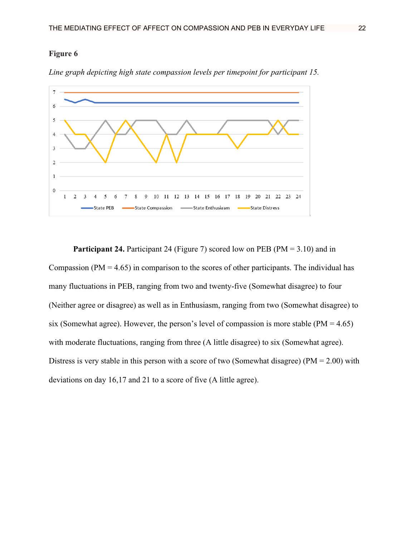

*Line graph depicting high state compassion levels per timepoint for participant 15.*

**Participant 24.** Participant 24 (Figure 7) scored low on PEB (PM = 3.10) and in Compassion (PM  $=$  4.65) in comparison to the scores of other participants. The individual has many fluctuations in PEB, ranging from two and twenty-five (Somewhat disagree) to four (Neither agree or disagree) as well as in Enthusiasm, ranging from two (Somewhat disagree) to six (Somewhat agree). However, the person's level of compassion is more stable ( $PM = 4.65$ ) with moderate fluctuations, ranging from three (A little disagree) to six (Somewhat agree). Distress is very stable in this person with a score of two (Somewhat disagree) ( $PM = 2.00$ ) with deviations on day 16,17 and 21 to a score of five (A little agree).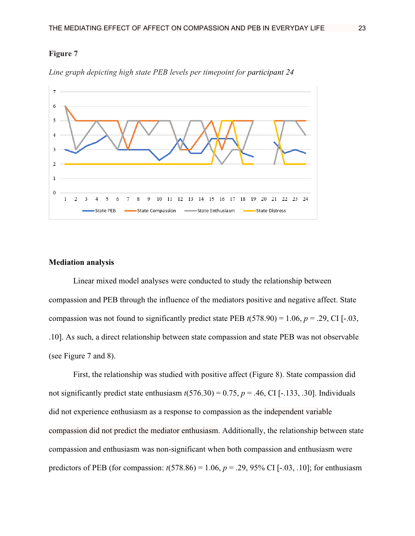

*Line graph depicting high state PEB levels per timepoint for participant 24*

### **Mediation analysis**

Linear mixed model analyses were conducted to study the relationship between compassion and PEB through the influence of the mediators positive and negative affect. State compassion was not found to significantly predict state PEB  $t(578.90) = 1.06$ ,  $p = .29$ , CI [-.03, .10]. As such, a direct relationship between state compassion and state PEB was not observable (see Figure 7 and 8).

First, the relationship was studied with positive affect (Figure 8). State compassion did not significantly predict state enthusiasm  $t(576.30) = 0.75$ ,  $p = .46$ , CI [-.133, .30]. Individuals did not experience enthusiasm as a response to compassion as the independent variable compassion did not predict the mediator enthusiasm. Additionally, the relationship between state compassion and enthusiasm was non-significant when both compassion and enthusiasm were predictors of PEB (for compassion:  $t(578.86) = 1.06$ ,  $p = .29$ , 95% CI [-.03, .10]; for enthusiasm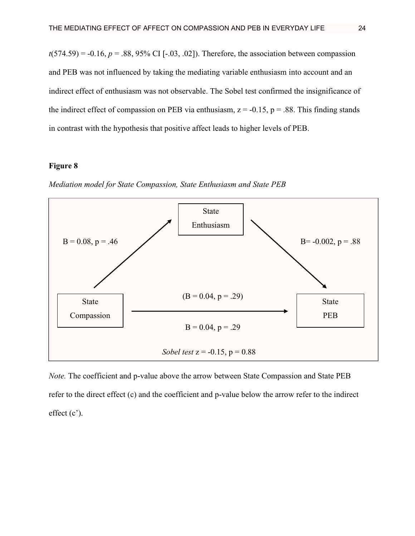$t(574.59) = -0.16$ ,  $p = .88$ , 95% CI [-.03, .02]). Therefore, the association between compassion and PEB was not influenced by taking the mediating variable enthusiasm into account and an indirect effect of enthusiasm was not observable. The Sobel test confirmed the insignificance of the indirect effect of compassion on PEB via enthusiasm,  $z = -0.15$ ,  $p = .88$ . This finding stands in contrast with the hypothesis that positive affect leads to higher levels of PEB.

### **Figure 8**

*Mediation model for State Compassion, State Enthusiasm and State PEB*



*Note.* The coefficient and p-value above the arrow between State Compassion and State PEB refer to the direct effect (c) and the coefficient and p-value below the arrow refer to the indirect effect (c').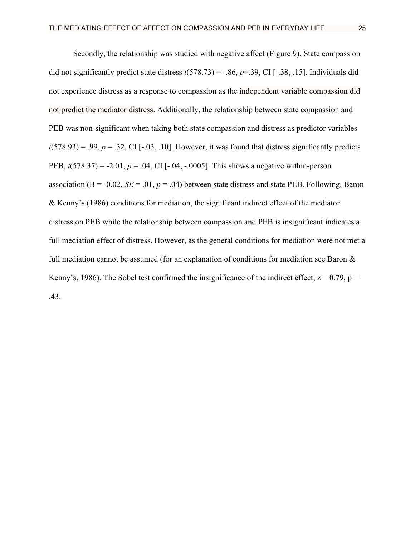Secondly, the relationship was studied with negative affect (Figure 9). State compassion did not significantly predict state distress  $t(578.73) = -.86$ ,  $p = .39$ , CI [-.38, .15]. Individuals did not experience distress as a response to compassion as the independent variable compassion did not predict the mediator distress. Additionally, the relationship between state compassion and PEB was non-significant when taking both state compassion and distress as predictor variables  $t(578.93) = .99$ ,  $p = .32$ , CI [-.03, .10]. However, it was found that distress significantly predicts PEB, *t*(578.37) = -2.01, *p* = .04, CI [-.04, -.0005]. This shows a negative within-person association ( $B = -0.02$ ,  $SE = .01$ ,  $p = .04$ ) between state distress and state PEB. Following, Baron & Kenny's (1986) conditions for mediation, the significant indirect effect of the mediator distress on PEB while the relationship between compassion and PEB is insignificant indicates a full mediation effect of distress. However, as the general conditions for mediation were not met a full mediation cannot be assumed (for an explanation of conditions for mediation see Baron & Kenny's, 1986). The Sobel test confirmed the insignificance of the indirect effect,  $z = 0.79$ ,  $p =$ 

.43.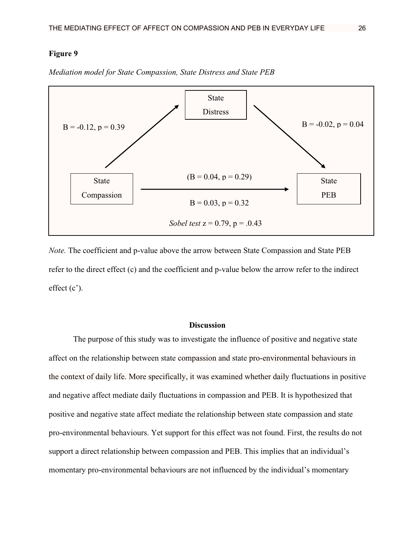

*Mediation model for State Compassion, State Distress and State PEB*

*Note.* The coefficient and p-value above the arrow between State Compassion and State PEB refer to the direct effect (c) and the coefficient and p-value below the arrow refer to the indirect effect (c').

### **Discussion**

The purpose of this study was to investigate the influence of positive and negative state affect on the relationship between state compassion and state pro-environmental behaviours in the context of daily life. More specifically, it was examined whether daily fluctuations in positive and negative affect mediate daily fluctuations in compassion and PEB. It is hypothesized that positive and negative state affect mediate the relationship between state compassion and state pro-environmental behaviours. Yet support for this effect was not found. First, the results do not support a direct relationship between compassion and PEB. This implies that an individual's momentary pro-environmental behaviours are not influenced by the individual's momentary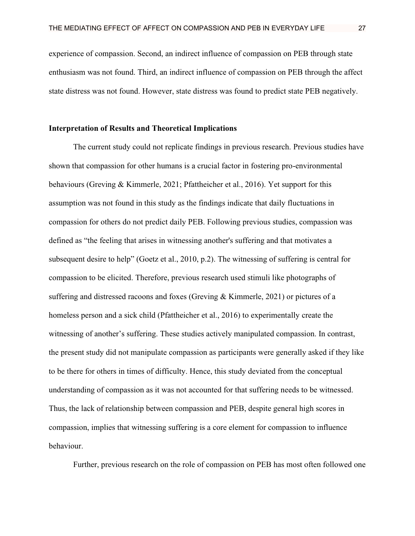experience of compassion. Second, an indirect influence of compassion on PEB through state enthusiasm was not found. Third, an indirect influence of compassion on PEB through the affect state distress was not found. However, state distress was found to predict state PEB negatively.

### **Interpretation of Results and Theoretical Implications**

The current study could not replicate findings in previous research. Previous studies have shown that compassion for other humans is a crucial factor in fostering pro-environmental behaviours (Greving & Kimmerle, 2021; Pfattheicher et al., 2016). Yet support for this assumption was not found in this study as the findings indicate that daily fluctuations in compassion for others do not predict daily PEB. Following previous studies, compassion was defined as "the feeling that arises in witnessing another's suffering and that motivates a subsequent desire to help" (Goetz et al., 2010, p.2). The witnessing of suffering is central for compassion to be elicited. Therefore, previous research used stimuli like photographs of suffering and distressed racoons and foxes (Greving & Kimmerle, 2021) or pictures of a homeless person and a sick child (Pfattheicher et al., 2016) to experimentally create the witnessing of another's suffering. These studies actively manipulated compassion. In contrast, the present study did not manipulate compassion as participants were generally asked if they like to be there for others in times of difficulty. Hence, this study deviated from the conceptual understanding of compassion as it was not accounted for that suffering needs to be witnessed. Thus, the lack of relationship between compassion and PEB, despite general high scores in compassion, implies that witnessing suffering is a core element for compassion to influence behaviour.

Further, previous research on the role of compassion on PEB has most often followed one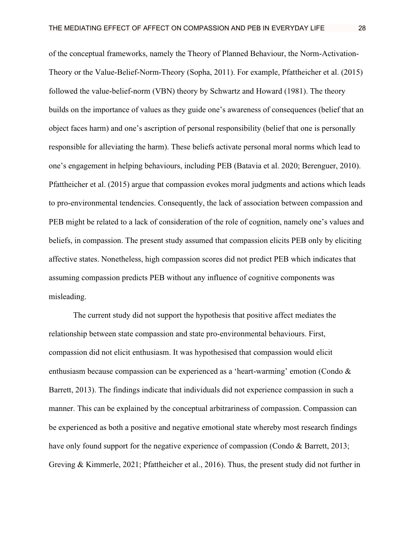of the conceptual frameworks, namely the Theory of Planned Behaviour, the Norm-Activation-Theory or the Value-Belief-Norm-Theory (Sopha, 2011). For example, Pfattheicher et al. (2015) followed the value-belief-norm (VBN) theory by Schwartz and Howard (1981). The theory builds on the importance of values as they guide one's awareness of consequences (belief that an object faces harm) and one's ascription of personal responsibility (belief that one is personally responsible for alleviating the harm). These beliefs activate personal moral norms which lead to one's engagement in helping behaviours, including PEB (Batavia et al. 2020; Berenguer, 2010). Pfattheicher et al. (2015) argue that compassion evokes moral judgments and actions which leads to pro-environmental tendencies. Consequently, the lack of association between compassion and PEB might be related to a lack of consideration of the role of cognition, namely one's values and beliefs, in compassion. The present study assumed that compassion elicits PEB only by eliciting affective states. Nonetheless, high compassion scores did not predict PEB which indicates that assuming compassion predicts PEB without any influence of cognitive components was misleading.

The current study did not support the hypothesis that positive affect mediates the relationship between state compassion and state pro-environmental behaviours. First, compassion did not elicit enthusiasm. It was hypothesised that compassion would elicit enthusiasm because compassion can be experienced as a 'heart-warming' emotion (Condo & Barrett, 2013). The findings indicate that individuals did not experience compassion in such a manner. This can be explained by the conceptual arbitrariness of compassion. Compassion can be experienced as both a positive and negative emotional state whereby most research findings have only found support for the negative experience of compassion (Condo & Barrett, 2013; Greving & Kimmerle, 2021; Pfattheicher et al., 2016). Thus, the present study did not further in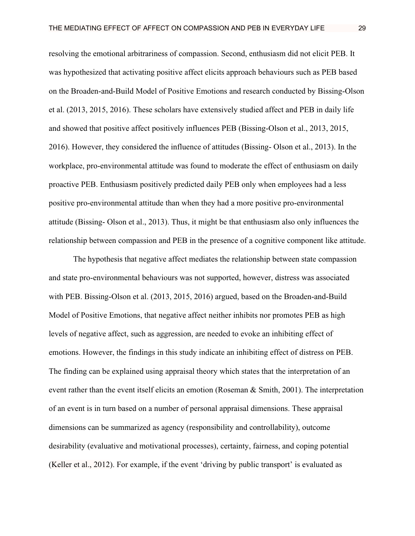resolving the emotional arbitrariness of compassion. Second, enthusiasm did not elicit PEB. It was hypothesized that activating positive affect elicits approach behaviours such as PEB based on the Broaden-and-Build Model of Positive Emotions and research conducted by Bissing-Olson et al. (2013, 2015, 2016). These scholars have extensively studied affect and PEB in daily life and showed that positive affect positively influences PEB (Bissing-Olson et al., 2013, 2015, 2016). However, they considered the influence of attitudes (Bissing- Olson et al., 2013). In the workplace, pro-environmental attitude was found to moderate the effect of enthusiasm on daily proactive PEB. Enthusiasm positively predicted daily PEB only when employees had a less positive pro-environmental attitude than when they had a more positive pro-environmental attitude (Bissing- Olson et al., 2013). Thus, it might be that enthusiasm also only influences the relationship between compassion and PEB in the presence of a cognitive component like attitude.

The hypothesis that negative affect mediates the relationship between state compassion and state pro-environmental behaviours was not supported, however, distress was associated with PEB. Bissing-Olson et al. (2013, 2015, 2016) argued, based on the Broaden-and-Build Model of Positive Emotions, that negative affect neither inhibits nor promotes PEB as high levels of negative affect, such as aggression, are needed to evoke an inhibiting effect of emotions. However, the findings in this study indicate an inhibiting effect of distress on PEB. The finding can be explained using appraisal theory which states that the interpretation of an event rather than the event itself elicits an emotion (Roseman & Smith, 2001). The interpretation of an event is in turn based on a number of personal appraisal dimensions. These appraisal dimensions can be summarized as agency (responsibility and controllability), outcome desirability (evaluative and motivational processes), certainty, fairness, and coping potential (Keller et al., 2012). For example, if the event 'driving by public transport' is evaluated as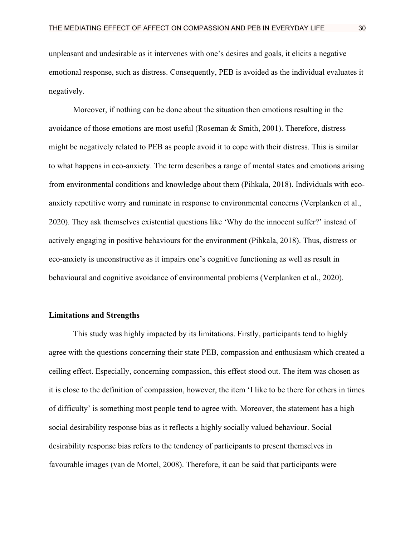unpleasant and undesirable as it intervenes with one's desires and goals, it elicits a negative emotional response, such as distress. Consequently, PEB is avoided as the individual evaluates it negatively.

Moreover, if nothing can be done about the situation then emotions resulting in the avoidance of those emotions are most useful (Roseman  $\&$  Smith, 2001). Therefore, distress might be negatively related to PEB as people avoid it to cope with their distress. This is similar to what happens in eco-anxiety. The term describes a range of mental states and emotions arising from environmental conditions and knowledge about them (Pihkala, 2018). Individuals with ecoanxiety repetitive worry and ruminate in response to environmental concerns (Verplanken et al., 2020). They ask themselves existential questions like 'Why do the innocent suffer?' instead of actively engaging in positive behaviours for the environment (Pihkala, 2018). Thus, distress or eco-anxiety is unconstructive as it impairs one's cognitive functioning as well as result in behavioural and cognitive avoidance of environmental problems (Verplanken et al., 2020).

### **Limitations and Strengths**

This study was highly impacted by its limitations. Firstly, participants tend to highly agree with the questions concerning their state PEB, compassion and enthusiasm which created a ceiling effect. Especially, concerning compassion, this effect stood out. The item was chosen as it is close to the definition of compassion, however, the item 'I like to be there for others in times of difficulty' is something most people tend to agree with. Moreover, the statement has a high social desirability response bias as it reflects a highly socially valued behaviour. Social desirability response bias refers to the tendency of participants to present themselves in favourable images (van de Mortel, 2008). Therefore, it can be said that participants were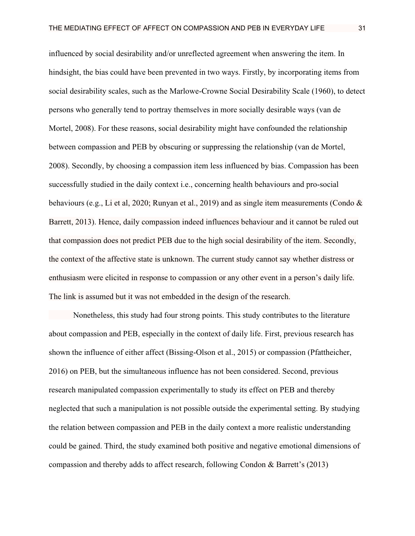influenced by social desirability and/or unreflected agreement when answering the item. In hindsight, the bias could have been prevented in two ways. Firstly, by incorporating items from social desirability scales, such as the Marlowe-Crowne Social Desirability Scale (1960), to detect persons who generally tend to portray themselves in more socially desirable ways (van de Mortel, 2008). For these reasons, social desirability might have confounded the relationship between compassion and PEB by obscuring or suppressing the relationship (van de Mortel, 2008). Secondly, by choosing a compassion item less influenced by bias. Compassion has been successfully studied in the daily context i.e., concerning health behaviours and pro-social behaviours (e.g., Li et al, 2020; Runyan et al., 2019) and as single item measurements (Condo & Barrett, 2013). Hence, daily compassion indeed influences behaviour and it cannot be ruled out that compassion does not predict PEB due to the high social desirability of the item. Secondly, the context of the affective state is unknown. The current study cannot say whether distress or enthusiasm were elicited in response to compassion or any other event in a person's daily life. The link is assumed but it was not embedded in the design of the research.

Nonetheless, this study had four strong points. This study contributes to the literature about compassion and PEB, especially in the context of daily life. First, previous research has shown the influence of either affect (Bissing-Olson et al., 2015) or compassion (Pfattheicher, 2016) on PEB, but the simultaneous influence has not been considered. Second, previous research manipulated compassion experimentally to study its effect on PEB and thereby neglected that such a manipulation is not possible outside the experimental setting. By studying the relation between compassion and PEB in the daily context a more realistic understanding could be gained. Third, the study examined both positive and negative emotional dimensions of compassion and thereby adds to affect research, following Condon & Barrett's (2013)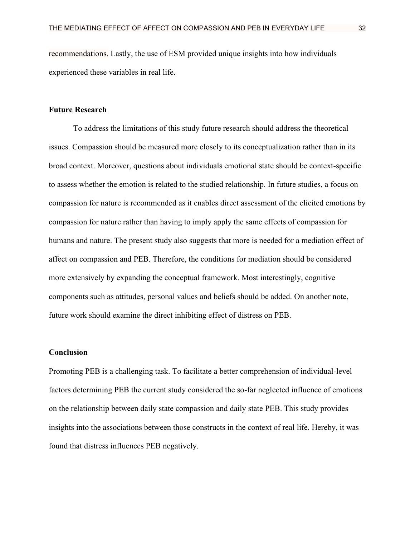recommendations. Lastly, the use of ESM provided unique insights into how individuals experienced these variables in real life.

### **Future Research**

To address the limitations of this study future research should address the theoretical issues. Compassion should be measured more closely to its conceptualization rather than in its broad context. Moreover, questions about individuals emotional state should be context-specific to assess whether the emotion is related to the studied relationship. In future studies, a focus on compassion for nature is recommended as it enables direct assessment of the elicited emotions by compassion for nature rather than having to imply apply the same effects of compassion for humans and nature. The present study also suggests that more is needed for a mediation effect of affect on compassion and PEB. Therefore, the conditions for mediation should be considered more extensively by expanding the conceptual framework. Most interestingly, cognitive components such as attitudes, personal values and beliefs should be added. On another note, future work should examine the direct inhibiting effect of distress on PEB.

### **Conclusion**

Promoting PEB is a challenging task. To facilitate a better comprehension of individual-level factors determining PEB the current study considered the so-far neglected influence of emotions on the relationship between daily state compassion and daily state PEB. This study provides insights into the associations between those constructs in the context of real life. Hereby, it was found that distress influences PEB negatively.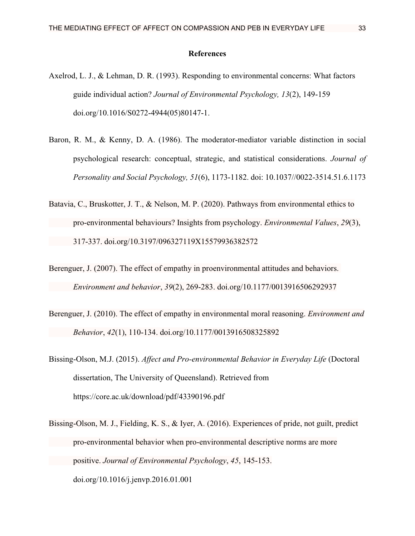### **References**

- Axelrod, L. J., & Lehman, D. R. (1993). Responding to environmental concerns: What factors guide individual action? *Journal of Environmental Psychology, 13*(2), 149-159 doi.org/10.1016/S0272-4944(05)80147-1.
- Baron, R. M., & Kenny, D. A. (1986). The moderator-mediator variable distinction in social psychological research: conceptual, strategic, and statistical considerations. *Journal of Personality and Social Psychology, 51*(6), 1173-1182. doi: 10.1037//0022-3514.51.6.1173
- Batavia, C., Bruskotter, J. T., & Nelson, M. P. (2020). Pathways from environmental ethics to pro-environmental behaviours? Insights from psychology. *Environmental Values*, *29*(3), 317-337. doi.org/10.3197/096327119X15579936382572
- Berenguer, J. (2007). The effect of empathy in proenvironmental attitudes and behaviors. *Environment and behavior*, *39*(2), 269-283. doi.org/10.1177/0013916506292937
- Berenguer, J. (2010). The effect of empathy in environmental moral reasoning. *Environment and Behavior*, *42*(1), 110-134. doi.org/10.1177/0013916508325892
- Bissing-Olson, M.J. (2015). *Affect and Pro-environmental Behavior in Everyday Life* (Doctoral dissertation, The University of Queensland). Retrieved from https://core.ac.uk/download/pdf/43390196.pdf
- Bissing-Olson, M. J., Fielding, K. S., & Iyer, A. (2016). Experiences of pride, not guilt, predict pro-environmental behavior when pro-environmental descriptive norms are more positive. *Journal of Environmental Psychology*, *45*, 145-153. doi.org/10.1016/j.jenvp.2016.01.001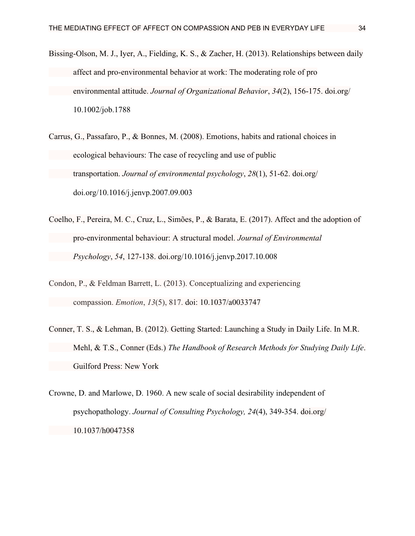- Bissing‐Olson, M. J., Iyer, A., Fielding, K. S., & Zacher, H. (2013). Relationships between daily affect and pro‐environmental behavior at work: The moderating role of pro environmental attitude. *Journal of Organizational Behavior*, *34*(2), 156-175. doi.org/ 10.1002/job.1788
- Carrus, G., Passafaro, P., & Bonnes, M. (2008). Emotions, habits and rational choices in ecological behaviours: The case of recycling and use of public transportation. *Journal of environmental psychology*, *28*(1), 51-62. doi.org/ doi.org/10.1016/j.jenvp.2007.09.003
- Coelho, F., Pereira, M. C., Cruz, L., Simões, P., & Barata, E. (2017). Affect and the adoption of pro-environmental behaviour: A structural model. *Journal of Environmental Psychology*, *54*, 127-138. doi.org/10.1016/j.jenvp.2017.10.008
- Condon, P., & Feldman Barrett, L. (2013). Conceptualizing and experiencing compassion. *Emotion*, *13*(5), 817. doi: 10.1037/a0033747
- Conner, T. S., & Lehman, B. (2012). Getting Started: Launching a Study in Daily Life. In M.R. Mehl, & T.S., Conner (Eds.) *The Handbook of Research Methods for Studying Daily Life*. Guilford Press: New York
- Crowne, D. and Marlowe, D. 1960. A new scale of social desirability independent of psychopathology. *Journal of Consulting Psychology, 24*(4), 349-354. doi.org/ 10.1037/h0047358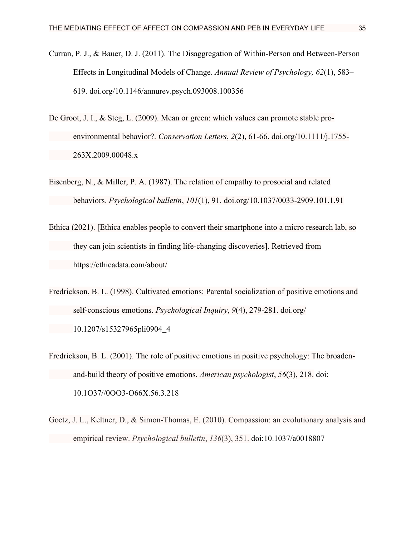- Curran, P. J., & Bauer, D. J. (2011). The Disaggregation of Within-Person and Between-Person Effects in Longitudinal Models of Change. *Annual Review of Psychology, 62*(1), 583– 619. doi.org/10.1146/annurev.psych.093008.100356
- De Groot, J. I., & Steg, L. (2009). Mean or green: which values can promote stable proenvironmental behavior?. *Conservation Letters*, *2*(2), 61-66. doi.org/10.1111/j.1755- 263X.2009.00048.x
- Eisenberg, N., & Miller, P. A. (1987). The relation of empathy to prosocial and related behaviors. *Psychological bulletin*, *101*(1), 91. doi.org/10.1037/0033-2909.101.1.91
- Ethica (2021). [Ethica enables people to convert their smartphone into a micro research lab, so they can join scientists in finding life-changing discoveries]. Retrieved from https://ethicadata.com/about/
- Fredrickson, B. L. (1998). Cultivated emotions: Parental socialization of positive emotions and self-conscious emotions. *Psychological Inquiry*, *9*(4), 279-281. doi.org/ 10.1207/s15327965pli0904\_4
- Fredrickson, B. L. (2001). The role of positive emotions in positive psychology: The broadenand-build theory of positive emotions. *American psychologist*, *56*(3), 218. doi: 10.1O37//0OO3-O66X.56.3.218
- Goetz, J. L., Keltner, D., & Simon-Thomas, E. (2010). Compassion: an evolutionary analysis and empirical review. *Psychological bulletin*, *136*(3), 351. doi:10.1037/a0018807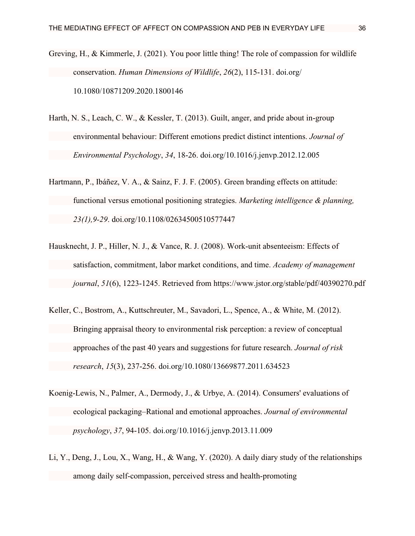- Greving, H., & Kimmerle, J. (2021). You poor little thing! The role of compassion for wildlife conservation. *Human Dimensions of Wildlife*, *26*(2), 115-131. doi.org/ 10.1080/10871209.2020.1800146
- Harth, N. S., Leach, C. W., & Kessler, T. (2013). Guilt, anger, and pride about in-group environmental behaviour: Different emotions predict distinct intentions. *Journal of Environmental Psychology*, *34*, 18-26. doi.org/10.1016/j.jenvp.2012.12.005
- Hartmann, P., Ibáñez, V. A., & Sainz, F. J. F. (2005). Green branding effects on attitude: functional versus emotional positioning strategies. *Marketing intelligence & planning, 23(1),9-29*. doi.org/10.1108/02634500510577447
- Hausknecht, J. P., Hiller, N. J., & Vance, R. J. (2008). Work-unit absenteeism: Effects of satisfaction, commitment, labor market conditions, and time. *Academy of management journal*, *51*(6), 1223-1245. Retrieved from https://www.jstor.org/stable/pdf/40390270.pdf
- Keller, C., Bostrom, A., Kuttschreuter, M., Savadori, L., Spence, A., & White, M. (2012). Bringing appraisal theory to environmental risk perception: a review of conceptual approaches of the past 40 years and suggestions for future research. *Journal of risk research*, *15*(3), 237-256. doi.org/10.1080/13669877.2011.634523
- Koenig-Lewis, N., Palmer, A., Dermody, J., & Urbye, A. (2014). Consumers' evaluations of ecological packaging–Rational and emotional approaches. *Journal of environmental psychology*, *37*, 94-105. doi.org/10.1016/j.jenvp.2013.11.009
- Li, Y., Deng, J., Lou, X., Wang, H., & Wang, Y. (2020). A daily diary study of the relationships among daily self‐compassion, perceived stress and health‐promoting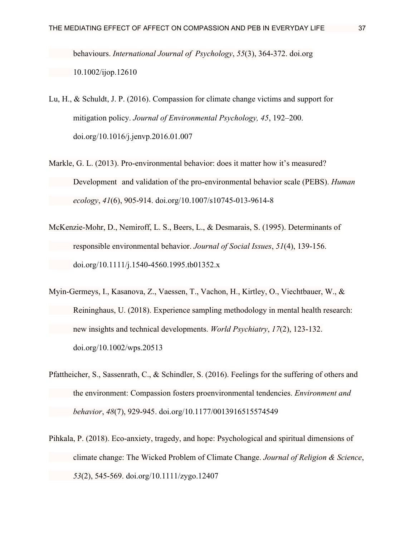behaviours. *International Journal of Psychology*, *55*(3), 364-372. doi.org 10.1002/ijop.12610

- Lu, H., & Schuldt, J. P. (2016). Compassion for climate change victims and support for mitigation policy. *Journal of Environmental Psychology, 45*, 192–200. doi.org/10.1016/j.jenvp.2016.01.007
- Markle, G. L. (2013). Pro-environmental behavior: does it matter how it's measured? Development and validation of the pro-environmental behavior scale (PEBS). *Human ecology*, *41*(6), 905-914. doi.org/10.1007/s10745-013-9614-8
- McKenzie‐Mohr, D., Nemiroff, L. S., Beers, L., & Desmarais, S. (1995). Determinants of responsible environmental behavior. *Journal of Social Issues*, *51*(4), 139-156. doi.org/10.1111/j.1540-4560.1995.tb01352.x
- Myin‐Germeys, I., Kasanova, Z., Vaessen, T., Vachon, H., Kirtley, O., Viechtbauer, W., & Reininghaus, U. (2018). Experience sampling methodology in mental health research: new insights and technical developments. *World Psychiatry*, *17*(2), 123-132. doi.org/10.1002/wps.20513
- Pfattheicher, S., Sassenrath, C., & Schindler, S. (2016). Feelings for the suffering of others and the environment: Compassion fosters proenvironmental tendencies. *Environment and behavior*, *48*(7), 929-945. doi.org/10.1177/0013916515574549
- Pihkala, P. (2018). Eco-anxiety, tragedy, and hope: Psychological and spiritual dimensions of climate change: The Wicked Problem of Climate Change. *Journal of Religion & Science*, *53*(2), 545-569. doi.org/10.1111/zygo.12407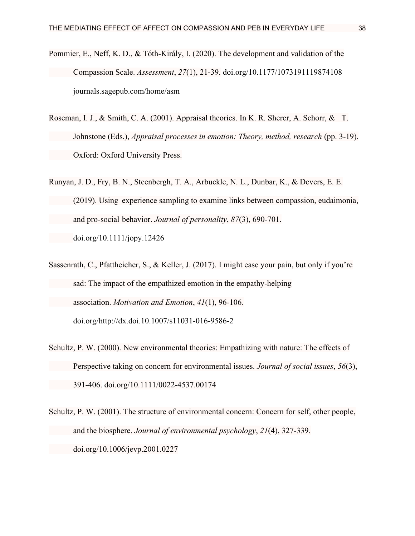- Pommier, E., Neff, K. D., & Tóth-Király, I. (2020). The development and validation of the Compassion Scale. *Assessment*, *27*(1), 21-39. doi.org/10.1177/1073191119874108 journals.sagepub.com/home/asm
- Roseman, I. J., & Smith, C. A. (2001). Appraisal theories. In K. R. Sherer, A. Schorr, & T. Johnstone (Eds.), *Appraisal processes in emotion: Theory, method, research* (pp. 3-19). Oxford: Oxford University Press.
- Runyan, J. D., Fry, B. N., Steenbergh, T. A., Arbuckle, N. L., Dunbar, K., & Devers, E. E. (2019). Using experience sampling to examine links between compassion, eudaimonia, and pro‐social behavior. *Journal of personality*, *87*(3), 690-701. doi.org/10.1111/jopy.12426
- Sassenrath, C., Pfattheicher, S., & Keller, J. (2017). I might ease your pain, but only if you're sad: The impact of the empathized emotion in the empathy-helping association. *Motivation and Emotion*, *41*(1), 96-106. doi.org/http://dx.doi.10.1007/s11031-016-9586-2
- Schultz, P. W. (2000). New environmental theories: Empathizing with nature: The effects of Perspective taking on concern for environmental issues. *Journal of social issues*, *56*(3), 391-406. doi.org/10.1111/0022-4537.00174
- Schultz, P. W. (2001). The structure of environmental concern: Concern for self, other people, and the biosphere. *Journal of environmental psychology*, *21*(4), 327-339. doi.org/10.1006/jevp.2001.0227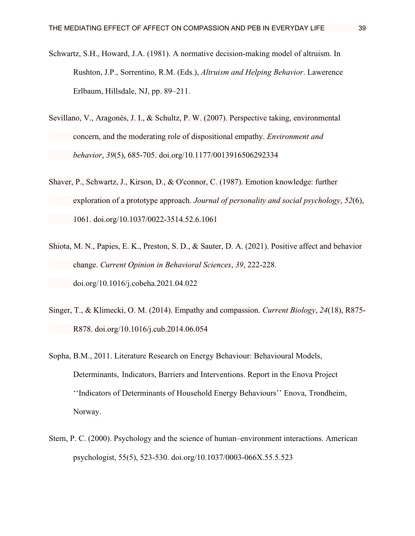- Schwartz, S.H., Howard, J.A. (1981). A normative decision-making model of altruism. In Rushton, J.P., Sorrentino, R.M. (Eds.), *Altruism and Helping Behavior*. Lawerence Erlbaum, Hillsdale, NJ, pp. 89–211.
- Sevillano, V., Aragonés, J. I., & Schultz, P. W. (2007). Perspective taking, environmental concern, and the moderating role of dispositional empathy. *Environment and behavior*, *39*(5), 685-705. doi.org/10.1177/0013916506292334
- Shaver, P., Schwartz, J., Kirson, D., & O'connor, C. (1987). Emotion knowledge: further exploration of a prototype approach. *Journal of personality and social psychology*, *52*(6), 1061. doi.org/10.1037/0022-3514.52.6.1061
- Shiota, M. N., Papies, E. K., Preston, S. D., & Sauter, D. A. (2021). Positive affect and behavior change. *Current Opinion in Behavioral Sciences*, *39*, 222-228. doi.org/10.1016/j.cobeha.2021.04.022
- Singer, T., & Klimecki, O. M. (2014). Empathy and compassion. *Current Biology*, *24*(18), R875- R878. doi.org/10.1016/j.cub.2014.06.054
- Sopha, B.M., 2011. Literature Research on Energy Behaviour: Behavioural Models, Determinants, Indicators, Barriers and Interventions. Report in the Enova Project ''Indicators of Determinants of Household Energy Behaviours'' Enova, Trondheim, Norway.
- Stern, P. C. (2000). Psychology and the science of human–environment interactions. American psychologist, 55(5), 523-530. doi.org/10.1037/0003-066X.55.5.523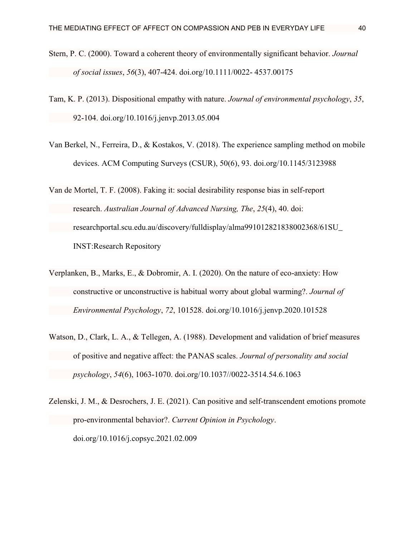- Stern, P. C. (2000). Toward a coherent theory of environmentally significant behavior. *Journal of social issues*, *56*(3), 407-424. doi.org/10.1111/0022- 4537.00175
- Tam, K. P. (2013). Dispositional empathy with nature. *Journal of environmental psychology*, *35*, 92-104. doi.org/10.1016/j.jenvp.2013.05.004
- Van Berkel, N., Ferreira, D., & Kostakos, V. (2018). The experience sampling method on mobile devices. ACM Computing Surveys (CSUR), 50(6), 93. doi.org/10.1145/3123988
- Van de Mortel, T. F. (2008). Faking it: social desirability response bias in self-report research. *Australian Journal of Advanced Nursing, The*, *25*(4), 40. doi: researchportal.scu.edu.au/discovery/fulldisplay/alma991012821838002368/61SU\_ INST:Research Repository
- Verplanken, B., Marks, E., & Dobromir, A. I. (2020). On the nature of eco-anxiety: How constructive or unconstructive is habitual worry about global warming?. *Journal of Environmental Psychology*, *72*, 101528. doi.org/10.1016/j.jenvp.2020.101528
- Watson, D., Clark, L. A., & Tellegen, A. (1988). Development and validation of brief measures of positive and negative affect: the PANAS scales. *Journal of personality and social psychology*, *54*(6), 1063-1070. doi.org/10.1037//0022-3514.54.6.1063
- Zelenski, J. M., & Desrochers, J. E. (2021). Can positive and self-transcendent emotions promote pro-environmental behavior?. *Current Opinion in Psychology*. doi.org/10.1016/j.copsyc.2021.02.009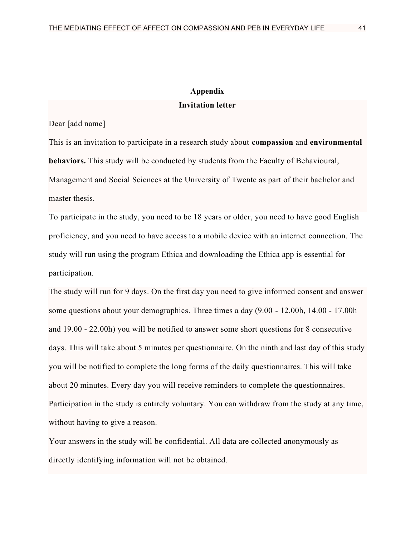### **Appendix Invitation letter**

Dear [add name]

This is an invitation to participate in a research study about **compassion** and **environmental behaviors.** This study will be conducted by students from the Faculty of Behavioural, Management and Social Sciences at the University of Twente as part of their bachelor and master thesis.

To participate in the study, you need to be 18 years or older, you need to have good English proficiency, and you need to have access to a mobile device with an internet connection. The study will run using the program Ethica and downloading the Ethica app is essential for participation.

The study will run for 9 days. On the first day you need to give informed consent and answer some questions about your demographics. Three times a day (9.00 - 12.00h, 14.00 - 17.00h and 19.00 - 22.00h) you will be notified to answer some short questions for 8 consecutive days. This will take about 5 minutes per questionnaire. On the ninth and last day of this study you will be notified to complete the long forms of the daily questionnaires. This will take about 20 minutes. Every day you will receive reminders to complete the questionnaires. Participation in the study is entirely voluntary. You can withdraw from the study at any time, without having to give a reason.

Your answers in the study will be confidential. All data are collected anonymously as directly identifying information will not be obtained.